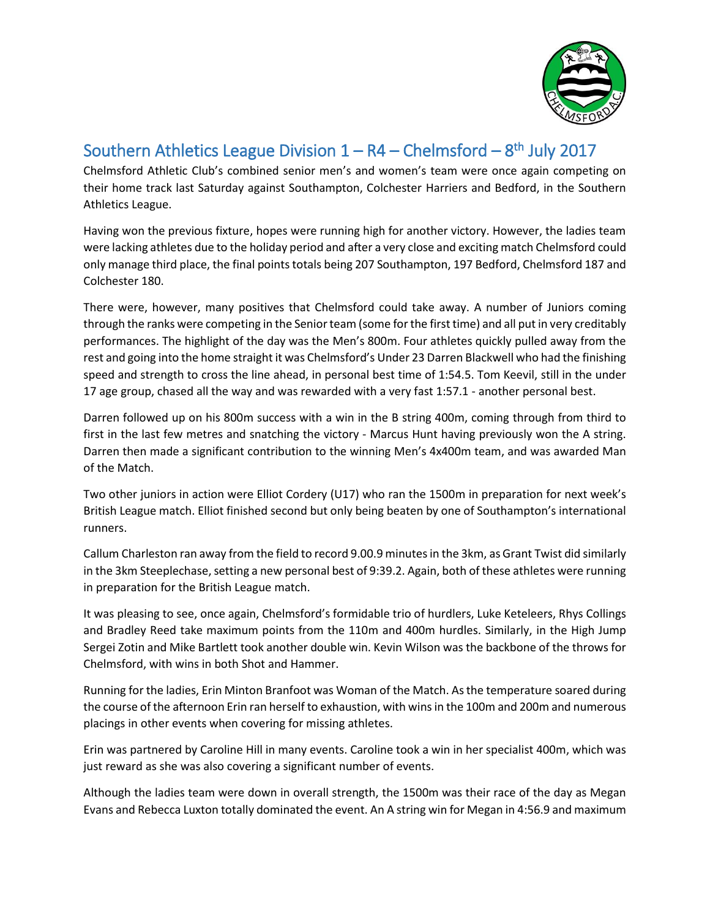

## Southern Athletics League Division  $1 - R4 - Chelmsford - 8<sup>th</sup> July 2017$

Chelmsford Athletic Club's combined senior men's and women's team were once again competing on their home track last Saturday against Southampton, Colchester Harriers and Bedford, in the Southern Athletics League.

Having won the previous fixture, hopes were running high for another victory. However, the ladies team were lacking athletes due to the holiday period and after a very close and exciting match Chelmsford could only manage third place, the final points totals being 207 Southampton, 197 Bedford, Chelmsford 187 and Colchester 180.

There were, however, many positives that Chelmsford could take away. A number of Juniors coming through the ranks were competing in the Senior team (some for the first time) and all put in very creditably performances. The highlight of the day was the Men's 800m. Four athletes quickly pulled away from the rest and going into the home straight it was Chelmsford's Under 23 Darren Blackwell who had the finishing speed and strength to cross the line ahead, in personal best time of 1:54.5. Tom Keevil, still in the under 17 age group, chased all the way and was rewarded with a very fast 1:57.1 - another personal best.

Darren followed up on his 800m success with a win in the B string 400m, coming through from third to first in the last few metres and snatching the victory - Marcus Hunt having previously won the A string. Darren then made a significant contribution to the winning Men's 4x400m team, and was awarded Man of the Match.

Two other juniors in action were Elliot Cordery (U17) who ran the 1500m in preparation for next week's British League match. Elliot finished second but only being beaten by one of Southampton's international runners.

Callum Charleston ran away from the field to record 9.00.9 minutes in the 3km, as Grant Twist did similarly in the 3km Steeplechase, setting a new personal best of 9:39.2. Again, both of these athletes were running in preparation for the British League match.

It was pleasing to see, once again, Chelmsford's formidable trio of hurdlers, Luke Keteleers, Rhys Collings and Bradley Reed take maximum points from the 110m and 400m hurdles. Similarly, in the High Jump Sergei Zotin and Mike Bartlett took another double win. Kevin Wilson was the backbone of the throws for Chelmsford, with wins in both Shot and Hammer.

Running for the ladies, Erin Minton Branfoot was Woman of the Match. As the temperature soared during the course of the afternoon Erin ran herself to exhaustion, with wins in the 100m and 200m and numerous placings in other events when covering for missing athletes.

Erin was partnered by Caroline Hill in many events. Caroline took a win in her specialist 400m, which was just reward as she was also covering a significant number of events.

Although the ladies team were down in overall strength, the 1500m was their race of the day as Megan Evans and Rebecca Luxton totally dominated the event. An A string win for Megan in 4:56.9 and maximum